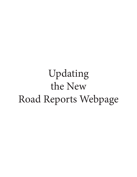## Updating the New Road Reports Webpage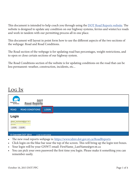This document is intended to help coach you through using the <u>[DOT Road Reports](https://www.idmv.dot.gov.nt.ca/RoadReports) [website](https://te.idmv.dot.gov.nt.ca/RoadReports)</u>. The website is designed to update any condition on our highway systems, ferries and winter/ice roads and work in tandem with our permitting process all in one place.

This document will layout in point form how to use the different aspects of the two sections of the webpage: Road and Road Conditions.

The Road section of the webpage is for updating road ban percentages, weight restrictions, and to open or close certain sections of our highway system.

The Road Conditions section of the website is for updating conditions on the road that can be less permanent: weather, construction, incidents, etc...

## Log In

| Æ<br><b>DOT</b><br>Northwest<br>Territories<br><b>Road Reports</b>     |              |  |
|------------------------------------------------------------------------|--------------|--|
| <b>ROAD CONDITIONS</b><br><b>ROAD</b>                                  | <b>LOGIN</b> |  |
| Login<br>james_mackenzie@gov.nt.ca<br><br><b>CLEAR</b><br><b>LOGIN</b> |              |  |
| © Copyright DOT 2014<br>V 2 46 14 4 2015-09-08                         |              |  |

- The new road reports webpage is:<https://www.idmv.dot.gov.nt.ca/RoadReports>
- Click login on the blue bar near the top of the screen. This will bring up the login text boxes.
- Your login will be your GNWT email: FirstName\_LastName@gov.nt.ca
- You can pick your own password the first time you login. Please make it something you can remember easily.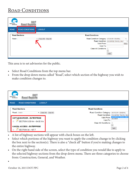## ROAD CONDITIONS

| Æ<br><b>DOT</b><br>Northwest<br>Territories<br><b>Road Reports</b> |                                        |                                                                                                       |                                                                                  |
|--------------------------------------------------------------------|----------------------------------------|-------------------------------------------------------------------------------------------------------|----------------------------------------------------------------------------------|
| <b>ROAD CONDITIONS</b><br><b>ROAD</b>                              | <b>LOGOUT</b>                          |                                                                                                       |                                                                                  |
| <b>Road Sections</b>                                               |                                        | <b>Road Condtions</b>                                                                                 |                                                                                  |
| Road:                                                              | Check All<br>Clear All<br>$\mathbf{v}$ | Road Condition Category: ADVISORY GENERAL<br>Valid From:<br>Valid To:<br>Clear All Conditions:<br>$+$ | ▼.<br>Road Condition: ESCORTED TRAVEL ONLY<br>$\pmb{\mathrm{v}}$<br>Now<br>Apply |

This area is to set advisories for the public.

- Select Road Conditions from the top menu bar.
- From the drop down menu called "Road", select which section of the highway you wish to make condition changes to.

| <b>DO</b><br>Northwest<br>Territories<br><b>Road Reports</b>   |                                                        |                                                     |
|----------------------------------------------------------------|--------------------------------------------------------|-----------------------------------------------------|
| <b>ROAD CONDITIONS</b><br><b>ROAD</b><br><b>LOGOUT</b>         |                                                        |                                                     |
| <b>Road Sections</b>                                           | <b>Road Condtions</b>                                  |                                                     |
| Road: 1HWY<br>$\blacktriangledown$   Check All                 | Road Condition Category: ADVISORY GENERAL<br>Clear All | <b>Road Condition: ESCORTED TRAVEL ONLY</b>         |
| <b>NWT/AB BORDER - ENTERPRISE</b>                              | Valid To:                                              | Valid From: ESCORTED TRAVEL ONLY<br><b>INCIDENT</b> |
| SECTION 0.00 Km - 84.00 Km                                     | Clear All Conditions: 0                                | $\ddot{}$                                           |
| <b>KAKISA ACCESS - ENTERPRISE</b><br><b>SECTION 84 - 167.7</b> |                                                        | <b>Apply</b>                                        |

- A list of highway sections will appear with check boxes on the left.
- Select which portions of the highway you want to apply the condition change to by clicking the box next to the section(s). There is also a "check all" button if you're making changes to the entire highway.
- On the right hand side of the screen, select the type of condition you would like to apply to the selected highway sections from the drop down menu. There are three categories to choose from: Construction, General, and Weather.
- •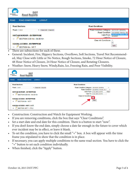| Æ<br>DO<br>Northwest<br>Territories<br><b>Road Reports</b> |                                                               |
|------------------------------------------------------------|---------------------------------------------------------------|
| <b>ROAD</b><br><b>ROAD CONDITIONS</b><br><b>LOGOUT</b>     |                                                               |
|                                                            |                                                               |
| <b>Road Sections</b>                                       | <b>Road Condtions</b>                                         |
|                                                            |                                                               |
| Road: 1 HWY<br>Check All<br>Clear All<br>$\mathbf{v}$      | Road Condition Category: ADVISORY GENERAL                     |
|                                                            | Road Condition: ESCORTED TRAVEL ONLY                          |
| <b>NWT/AB BORDER - ENTERPRISE</b>                          | <b>ESCORTED TRAVEL ONLY</b><br>Valid From:<br><b>INCIDENT</b> |
|                                                            | Valid To:                                                     |
| SECTION 0.00 Km - 84.00 Km<br>∩                            | Clear All Conditions: 0                                       |
|                                                            | $+$                                                           |
| <b>KAKISA ACCESS - ENTERPRISE</b>                          |                                                               |
| ∩<br><b>SECTION 84 - 167.7</b>                             | Apply                                                         |

- There are subsections for each of these.
- General: Incident, Fire, Slippery Sections, Overflows, Soft Sections, Travel Not Recommended, May Close with Little or No Notice, Rough Sections, Smoke, 72 Hour Notice of Closure, 48 Hour Notice of Closure, 24 Hour Notice of Closure, and Rotating Closures.
- Weather: Snow, Heavy Snow, Windy,Rain, Ice, Freezing Rain, and Poor Visibility.

| <b>AN</b><br><b>DOT</b><br>Northwest<br>Territories<br><b>Road Reports</b>             |                                                                                                                                    |  |
|----------------------------------------------------------------------------------------|------------------------------------------------------------------------------------------------------------------------------------|--|
| <b>ROAD</b><br><b>ROAD CONDITIONS</b><br><b>LOGOUT</b>                                 |                                                                                                                                    |  |
| <b>Road Sections</b>                                                                   | <b>Road Condtions</b>                                                                                                              |  |
| Road: 1HWY<br>Check All Clear All<br><b>NWT/AB BORDER - ENTERPRISE</b>                 | Road Condition Category: ADVISORY GENERAL<br>Road Condition: ESCORTED TRAVEL ONLY<br>Valid From: 23 Oct 2015 2:39 PM<br><b>Now</b> |  |
| SECTION 0.00 Km - 84.00 Km<br>$\overline{\mathcal{L}}$                                 | Valid To: 30 Oct 2015 2:40 PM<br>Clear All Conditions:                                                                             |  |
| <b>KAKISA ACCESS - ENTERPRISE</b><br>SECTION 84 - 167.7<br>$\overline{\mathcal{L}}$    | Apply                                                                                                                              |  |
| <b>KAKISA ACCESS - HWY 3 JCT.</b><br>SECTION 167.7 - 173.2<br>$\overline{\mathcal{L}}$ |                                                                                                                                    |  |

- Construction: Construction and Watch for Equipment Working.
- If you are removing conditions, click the box that says "Clear Conditions".
- Set a start date and end date for this condition. There is a button to start "now".
- If you don't know the end date, simply choose a date far enough in the future to cover which ever incident may be in effect, or leave it blank.
- To set the condition, you have to click the small "+" box. A box will appear with the time frame you stipulated to show that the condition is in place.
- If necessary, you can apply multiple conditions to the same road section. You have to click the "+" button to set each condition individually.
- When finished, click the "Apply" button.